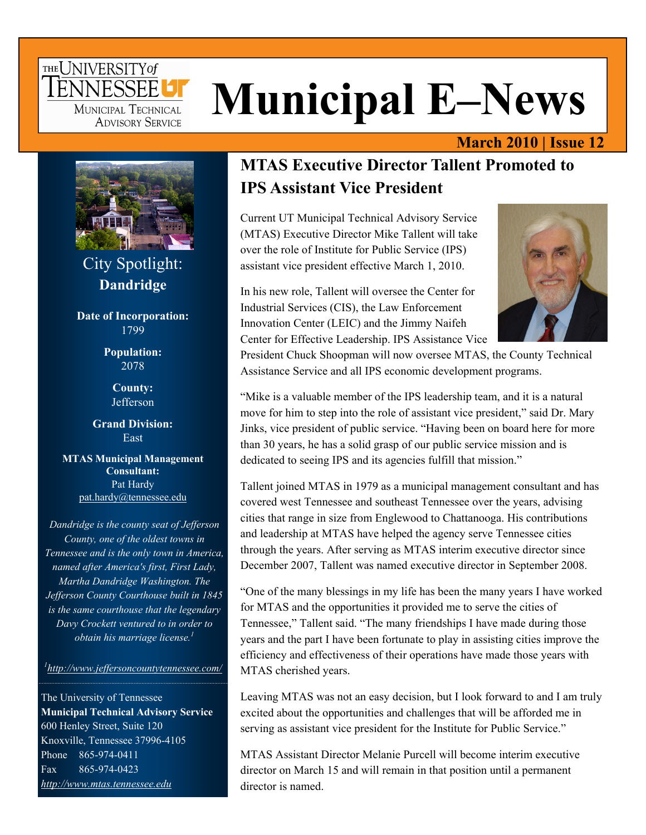### THE UNIVERSITY of TENNESSEE<sup>1</sup> MUNICIPAL TECHNICAL **ADVISORY SERVICE**

# **Municipal E–News**

#### **March 2010 | Issue 12**



City Spotlight: **Dandridge** 

**Date of Incorporation:**  1799

> **Population:**  2078

> > **County: Jefferson**

**Grand Division: East** 

**MTAS Municipal Management Consultant:**  Pat Hardy [pat.hardy@tennessee.edu](mailto:pat.hardy@tennessee.edu)

*Dandridge is the county seat of Jefferson County, one of the oldest towns in Tennessee and is the only town in America, named after America's first, First Lady, Martha Dandridge Washington. The Jefferson County Courthouse built in 1845 is the same courthouse that the legendary Davy Crockett ventured to in order to obtain his marriage license.1* 

*1 <http://www.jeffersoncountytennessee.com/>*

The University of Tennessee **Municipal Technical Advisory Service**  600 Henley Street, Suite 120 Knoxville, Tennessee 37996-4105 Phone 865-974-0411 Fax 865-974-0423 *<http://www.mtas.tennessee.edu>*

### **MTAS Executive Director Tallent Promoted to IPS Assistant Vice President**

Current UT Municipal Technical Advisory Service (MTAS) Executive Director Mike Tallent will take over the role of Institute for Public Service (IPS) assistant vice president effective March 1, 2010.

In his new role, Tallent will oversee the Center for Industrial Services (CIS), the Law Enforcement Innovation Center (LEIC) and the Jimmy Naifeh Center for Effective Leadership. IPS Assistance Vice



President Chuck Shoopman will now oversee MTAS, the County Technical Assistance Service and all IPS economic development programs.

"Mike is a valuable member of the IPS leadership team, and it is a natural move for him to step into the role of assistant vice president," said Dr. Mary Jinks, vice president of public service. "Having been on board here for more than 30 years, he has a solid grasp of our public service mission and is dedicated to seeing IPS and its agencies fulfill that mission."

Tallent joined MTAS in 1979 as a municipal management consultant and has covered west Tennessee and southeast Tennessee over the years, advising cities that range in size from Englewood to Chattanooga. His contributions and leadership at MTAS have helped the agency serve Tennessee cities through the years. After serving as MTAS interim executive director since December 2007, Tallent was named executive director in September 2008.

"One of the many blessings in my life has been the many years I have worked for MTAS and the opportunities it provided me to serve the cities of Tennessee," Tallent said. "The many friendships I have made during those years and the part I have been fortunate to play in assisting cities improve the efficiency and effectiveness of their operations have made those years with MTAS cherished years.

Leaving MTAS was not an easy decision, but I look forward to and I am truly excited about the opportunities and challenges that will be afforded me in serving as assistant vice president for the Institute for Public Service."

MTAS Assistant Director Melanie Purcell will become interim executive director on March 15 and will remain in that position until a permanent director is named.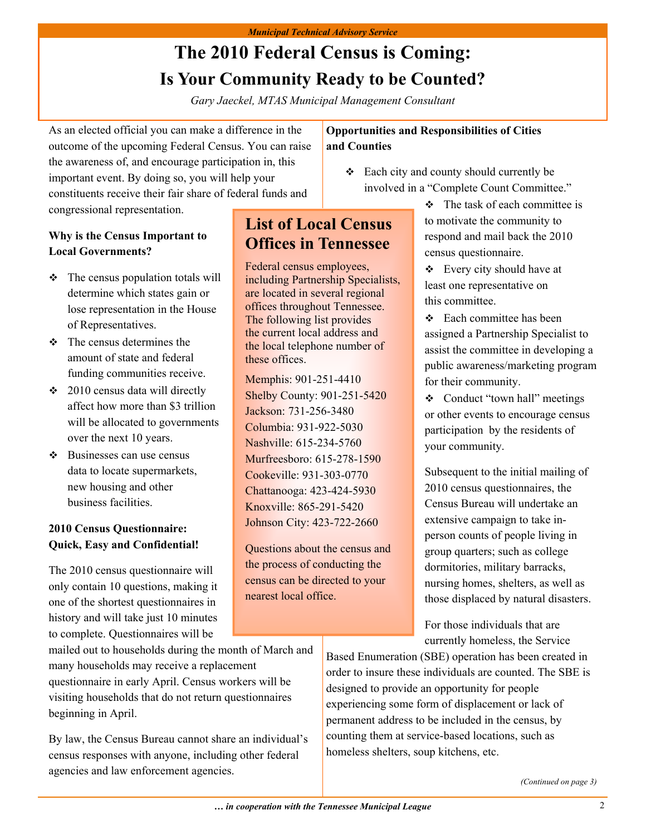### **The 2010 Federal Census is Coming: Is Your Community Ready to be Counted?**

*Gary Jaeckel, MTAS Municipal Management Consultant* 

As an elected official you can make a difference in the outcome of the upcoming Federal Census. You can raise the awareness of, and encourage participation in, this important event. By doing so, you will help your constituents receive their fair share of federal funds and congressional representation.

#### **Why is the Census Important to Local Governments?**

- $\div$  The census population totals will determine which states gain or lose representation in the House of Representatives.
- $\div$  The census determines the amount of state and federal funding communities receive.
- $\div$  2010 census data will directly affect how more than \$3 trillion will be allocated to governments over the next 10 years.
- $\div$  Businesses can use census data to locate supermarkets, new housing and other business facilities.

#### **2010 Census Questionnaire: Quick, Easy and Confidential!**

The 2010 census questionnaire will only contain 10 questions, making it one of the shortest questionnaires in history and will take just 10 minutes to complete. Questionnaires will be

mailed out to households during the month of March and many households may receive a replacement questionnaire in early April. Census workers will be visiting households that do not return questionnaires beginning in April.

By law, the Census Bureau cannot share an individual's census responses with anyone, including other federal agencies and law enforcement agencies.

#### **Opportunities and Responsibilities of Cities and Counties**

- Each city and county should currently be involved in a "Complete Count Committee."
- **List of Local Census Offices in Tennessee**

Federal census employees, including Partnership Specialists, are located in several regional offices throughout Tennessee. The following list provides the current local address and the local telephone number of these offices.

Memphis: 901-251-4410 Shelby County: 901-251-5420 Jackson: 731-256-3480 Columbia: 931-922-5030 Nashville: 615-234-5760 Murfreesboro: 615-278-1590 Cookeville: 931-303-0770 Chattanooga: 423-424-5930 Knoxville: 865-291-5420 Johnson City: 423-722-2660

Questions about the census and the process of conducting the census can be directed to your nearest local office.

 $\div$  The task of each committee is to motivate the community to respond and mail back the 2010 census questionnaire.

 $\div$  Every city should have at least one representative on this committee.

**❖** Each committee has been assigned a Partnership Specialist to assist the committee in developing a public awareness/marketing program for their community.

• Conduct "town hall" meetings or other events to encourage census participation by the residents of your community.

Subsequent to the initial mailing of 2010 census questionnaires, the Census Bureau will undertake an extensive campaign to take inperson counts of people living in group quarters; such as college dormitories, military barracks, nursing homes, shelters, as well as those displaced by natural disasters.

For those individuals that are currently homeless, the Service

Based Enumeration (SBE) operation has been created in order to insure these individuals are counted. The SBE is designed to provide an opportunity for people experiencing some form of displacement or lack of permanent address to be included in the census, by counting them at service-based locations, such as homeless shelters, soup kitchens, etc.

*(Continued on page 3)*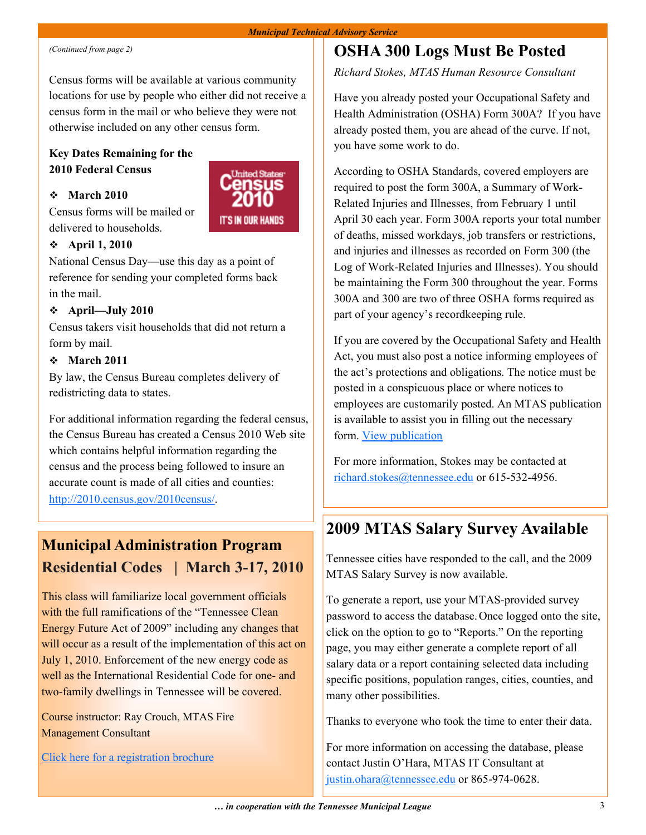Census forms will be available at various community locations for use by people who either did not receive a census form in the mail or who believe they were not otherwise included on any other census form.

#### **Key Dates Remaining for the 2010 Federal Census**

#### **March 2010**

Census forms will be mailed or delivered to households.



#### **April 1, 2010**

National Census Day—use this day as a point of reference for sending your completed forms back in the mail.

#### **April—July 2010**

Census takers visit households that did not return a form by mail.

#### **March 2011**

By law, the Census Bureau completes delivery of redistricting data to states.

For additional information regarding the federal census, the Census Bureau has created a Census 2010 Web site which contains helpful information regarding the census and the process being followed to insure an accurate count is made of all cities and counties: <http://2010.census.gov/2010census/>.

### **Municipal Administration Program Residential Codes | March 3-17, 2010**

This class will familiarize local government officials with the full ramifications of the "Tennessee Clean Energy Future Act of 2009" including any changes that will occur as a result of the implementation of this act on July 1, 2010. Enforcement of the new energy code as well as the International Residential Code for one- and two-family dwellings in Tennessee will be covered.

Course instructor: Ray Crouch, MTAS Fire Management Consultant

[Click here for a registration brochure](http://www.mtas.tennessee.edu/Training/MAP_2010/march_2010.pdf)

### *(Continued from page 2)* **Continued from page 2) OSHA 300 Logs Must Be Posted**

*Richard Stokes, MTAS Human Resource Consultant* 

Have you already posted your Occupational Safety and Health Administration (OSHA) Form 300A? If you have already posted them, you are ahead of the curve. If not, you have some work to do.

According to OSHA Standards, covered employers are required to post the form 300A, a Summary of Work-Related Injuries and Illnesses, from February 1 until April 30 each year. Form 300A reports your total number of deaths, missed workdays, job transfers or restrictions, and injuries and illnesses as recorded on Form 300 (the Log of Work-Related Injuries and Illnesses). You should be maintaining the Form 300 throughout the year. Forms 300A and 300 are two of three OSHA forms required as part of your agency's recordkeeping rule.

If you are covered by the Occupational Safety and Health Act, you must also post a notice informing employees of the act's protections and obligations. The notice must be posted in a conspicuous place or where notices to employees are customarily posted. An MTAS publication is available to assist you in filling out the necessary form. [View publication](http://www.mtas.utk.edu/KnowledgeBase.nsf/0/53477CFC0705E08C85256BC1005DBE24?OpenDocument)

For more information, Stokes may be contacted at [richard.stokes@tennessee.edu](mailto:richard.stokes@tennessee.edu) or 615-532-4956.

### **2009 MTAS Salary Survey Available**

Tennessee cities have responded to the call, and the 2009 MTAS Salary Survey is now available.

To generate a report, use your MTAS-provided survey password to access the database.Once logged onto the site, click on the option to go to "Reports." On the reporting page, you may either generate a complete report of all salary data or a report containing selected data including specific positions, population ranges, cities, counties, and many other possibilities.

Thanks to everyone who took the time to enter their data.

For more information on accessing the database, please contact Justin O'Hara, MTAS IT Consultant at [justin.ohara@tennessee.edu](mailto:justin.ohara@tennessee.edu) or 865-974-0628.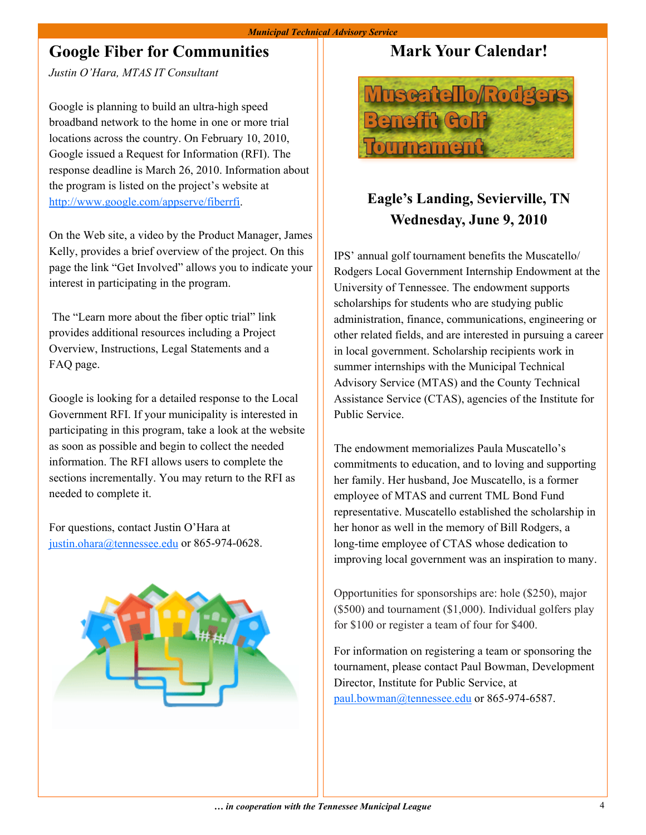#### *Municipal Technical Advisory Service*

### **Google Fiber for Communities**

*Justin O'Hara, MTAS IT Consultant* 

Google is planning to build an ultra-high speed broadband network to the home in one or more trial locations across the country. On February 10, 2010, Google issued a Request for Information (RFI). The response deadline is March 26, 2010. Information about the program is listed on the project's website at <http://www.google.com/appserve/fiberrfi>.

On the Web site, a video by the Product Manager, James Kelly, provides a brief overview of the project. On this page the link "Get Involved" allows you to indicate your interest in participating in the program.

 The "Learn more about the fiber optic trial" link provides additional resources including a Project Overview, Instructions, Legal Statements and a FAQ page.

Google is looking for a detailed response to the Local Government RFI. If your municipality is interested in participating in this program, take a look at the website as soon as possible and begin to collect the needed information. The RFI allows users to complete the sections incrementally. You may return to the RFI as needed to complete it.

For questions, contact Justin O'Hara at [justin.ohara@tennessee.edu](mailto:justin.ohara@tennessee.edu) or 865-974-0628.



### **Mark Your Calendar!**



### **Eagle's Landing, Sevierville, TN Wednesday, June 9, 2010**

IPS' annual golf tournament benefits the Muscatello/ Rodgers Local Government Internship Endowment at the University of Tennessee. The endowment supports scholarships for students who are studying public administration, finance, communications, engineering or other related fields, and are interested in pursuing a career in local government. Scholarship recipients work in summer internships with the Municipal Technical Advisory Service (MTAS) and the County Technical Assistance Service (CTAS), agencies of the Institute for Public Service.

The endowment memorializes Paula Muscatello's commitments to education, and to loving and supporting her family. Her husband, Joe Muscatello, is a former employee of MTAS and current TML Bond Fund representative. Muscatello established the scholarship in her honor as well in the memory of Bill Rodgers, a long-time employee of CTAS whose dedication to improving local government was an inspiration to many.

Opportunities for sponsorships are: hole (\$250), major (\$500) and tournament (\$1,000). Individual golfers play for \$100 or register a team of four for \$400.

For information on registering a team or sponsoring the tournament, please contact Paul Bowman, Development Director, Institute for Public Service, at [paul.bowman@tennessee.edu](mailto:paul.bowman@tennessee.edu) or 865-974-6587.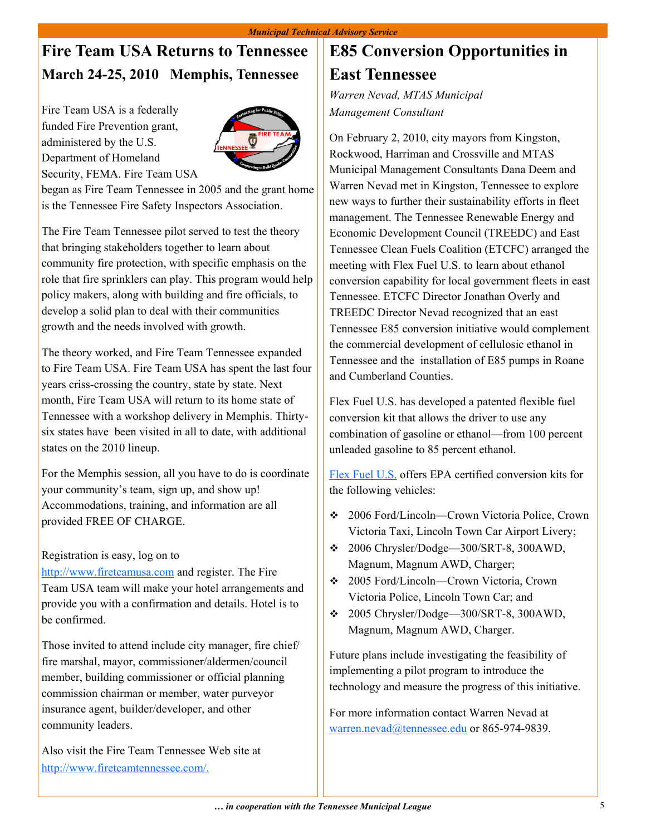### **Fire Team USA Returns to Tennessee March 24-25, 2010 Memphis, Tennessee**

Fire Team USA is a federally funded Fire Prevention grant, administered by the U.S. Department of Homeland Security, FEMA. Fire Team USA



began as Fire Team Tennessee in 2005 and the grant home is the Tennessee Fire Safety Inspectors Association.

The Fire Team Tennessee pilot served to test the theory that bringing stakeholders together to learn about community fire protection, with specific emphasis on the role that fire sprinklers can play. This program would help policy makers, along with building and fire officials, to develop a solid plan to deal with their communities growth and the needs involved with growth.

The theory worked, and Fire Team Tennessee expanded to Fire Team USA. Fire Team USA has spent the last four years criss-crossing the country, state by state. Next month, Fire Team USA will return to its home state of Tennessee with a workshop delivery in Memphis. Thirtysix states have been visited in all to date, with additional states on the 2010 lineup.

For the Memphis session, all you have to do is coordinate your community's team, sign up, and show up! Accommodations, training, and information are all provided FREE OF CHARGE.

#### Registration is easy, log on to

<http://www.fireteamusa.com> and register. The Fire Team USA team will make your hotel arrangements and provide you with a confirmation and details. Hotel is to be confirmed.

Those invited to attend include city manager, fire chief/ fire marshal, mayor, commissioner/aldermen/council member, building commissioner or official planning commission chairman or member, water purveyor insurance agent, builder/developer, and other community leaders.

Also visit the Fire Team Tennessee Web site at [http://www.fireteamtennessee.com/.](http://www.fireteamtennessee.com/)

### **E85 Conversion Opportunities in East Tennessee**

*Warren Nevad, MTAS Municipal Management Consultant* 

On February 2, 2010, city mayors from Kingston, Rockwood, Harriman and Crossville and MTAS Municipal Management Consultants Dana Deem and Warren Nevad met in Kingston, Tennessee to explore new ways to further their sustainability efforts in fleet management. The Tennessee Renewable Energy and Economic Development Council (TREEDC) and East Tennessee Clean Fuels Coalition (ETCFC) arranged the meeting with Flex Fuel U.S. to learn about ethanol conversion capability for local government fleets in east Tennessee. ETCFC Director Jonathan Overly and TREEDC Director Nevad recognized that an east Tennessee E85 conversion initiative would complement the commercial development of cellulosic ethanol in Tennessee and the installation of E85 pumps in Roane and Cumberland Counties.

Flex Fuel U.S. has developed a patented flexible fuel conversion kit that allows the driver to use any combination of gasoline or ethanol—from 100 percent unleaded gasoline to 85 percent ethanol.

[Flex Fuel U.S.](http://flexfuelus.com/index.html) offers EPA certified conversion kits for the following vehicles:

- 2006 Ford/Lincoln—Crown Victoria Police, Crown Victoria Taxi, Lincoln Town Car Airport Livery;
- 2006 Chrysler/Dodge—300/SRT-8, 300AWD, Magnum, Magnum AWD, Charger;
- 2005 Ford/Lincoln—Crown Victoria, Crown Victoria Police, Lincoln Town Car; and
- 2005 Chrysler/Dodge—300/SRT-8, 300AWD, Magnum, Magnum AWD, Charger.

Future plans include investigating the feasibility of implementing a pilot program to introduce the technology and measure the progress of this initiative.

For more information contact Warren Nevad at [warren.nevad@tennessee.edu](mailto:warren.nevad@tennessee.edu) or 865-974-9839.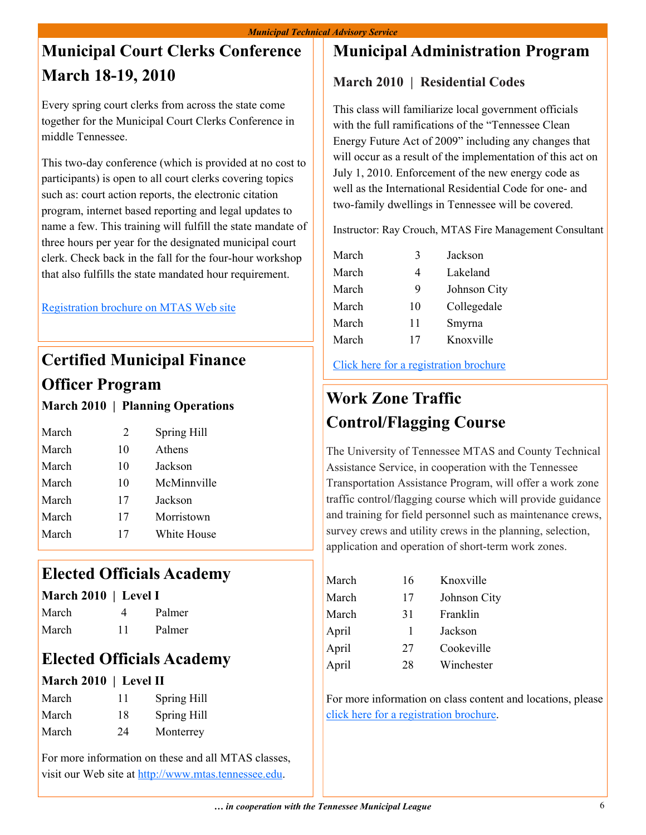### **Municipal Court Clerks Conference March 18-19, 2010**

Every spring court clerks from across the state come together for the Municipal Court Clerks Conference in middle Tennessee.

This two-day conference (which is provided at no cost to participants) is open to all court clerks covering topics such as: court action reports, the electronic citation program, internet based reporting and legal updates to name a few. This training will fulfill the state mandate of three hours per year for the designated municipal court clerk. Check back in the fall for the four-hour workshop that also fulfills the state mandated hour requirement.

[Registration brochure on MTAS Web site](http://www.mtas.tennessee.edu/Training/court_clerks_brochure_10.pdf)

### **Certified Municipal Finance Officer Program**

#### **March 2010 | Planning Operations**

| March | 2  | Spring Hill |
|-------|----|-------------|
| March | 10 | Athens      |
| March | 10 | Jackson     |
| March | 10 | McMinnville |
| March | 17 | Jackson     |
| March | 17 | Morristown  |
| March | 17 | White House |

### **Elected Officials Academy**

#### **March 2010 | Level I**

| March | 4  | Palmer |
|-------|----|--------|
| March | 11 | Palmer |

### **Elected Officials Academy**

#### **March 2010 | Level II**

| March | 11 | Spring Hill |
|-------|----|-------------|
| March | 18 | Spring Hill |
| March | 24 | Monterrey   |

For more information on these and all MTAS classes, visit our Web site at [http://www.mtas.tennessee.edu](http://www.mtas.tennessee.edu/).

### **Municipal Administration Program**

#### **March 2010 | Residential Codes**

This class will familiarize local government officials with the full ramifications of the "Tennessee Clean Energy Future Act of 2009" including any changes that will occur as a result of the implementation of this act on July 1, 2010. Enforcement of the new energy code as well as the International Residential Code for one- and two-family dwellings in Tennessee will be covered.

Instructor: Ray Crouch, MTAS Fire Management Consultant

| March | 3  | Jackson      |
|-------|----|--------------|
| March | 4  | Lakeland     |
| March | 9  | Johnson City |
| March | 10 | Collegedale  |
| March | 11 | Smyrna       |
| March | 17 | Knoxville    |

[Click here for a registration brochure](http://www.mtas.tennessee.edu/Training/MAP_2010/march_2010.pdf)

### **Work Zone Traffic Control/Flagging Course**

The University of Tennessee MTAS and County Technical Assistance Service, in cooperation with the Tennessee Transportation Assistance Program, will offer a work zone traffic control/flagging course which will provide guidance and training for field personnel such as maintenance crews, survey crews and utility crews in the planning, selection, application and operation of short-term work zones.

| 16 | Knoxville    |
|----|--------------|
| 17 | Johnson City |
| 31 | Franklin     |
| 1  | Jackson      |
| 27 | Cookeville   |
| 28 | Winchester   |
|    |              |

For more information on class content and locations, please [click here for a registration brochure.](http://www.mtas.tennessee.edu/Training/wz_2010.pdf)